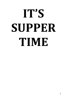## **IT'S SUPPER TIME**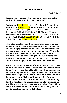## **IT'S SUPPER TIME**

**Sermon in a sentence: Come and take your place at the table of the Lord with the "Body of Christ."**

**Scriptures: Ex. 12:1-14; 1 Cor. 5:7; 1 John 1:7; John 3:16; Rom. 6:23b; John 6:53-58; Ex. 12:47-48; Ex. 14:13-14, 16, 29-30a, (1 Cor. 10:1-2); Ex. 16:4; Ex. 17:6; Num. 14:22-23, 29; 1 Cor. 5:7; Mark 16:16; John 6:51; Mark 3:17; Luke 9:51-56; Mark 10:35-41; Luke 22:24-27; John 12:6; Matt. 26:74; Mark 14:31; 1 Cor. 11:17-22; 1 Cor. 11:29-32; 1 Cor. 5:1-5; Matt. 9:12; 1 Cor. 11:23-26**

**There is a beautiful tradition households have practiced for centuries that has provided countless good memories and bonding opportunities for their family members. It's the tradition of eating together at supper time. Typically, the parents have been hard at work all day and the children have also been toiling at school, but at supper time, everyone comes home to rest and relax, reconnect, and receive both physical and emotional nourishment.** 

**Just so you know, I am definitely not a cook, so I was never much help on the food side. But Mom would usually come home from work and quickly whip something together for her four hungry children. Depending on the shift Dad was working at the jail, he may or may not have been available for supper, but we'd all usually get together for dinner after church on Sunday afternoons. As we grew older, my brother developed an amazing skill with left-overs, so he would often take on the cooking duties after school. Then, when our parents came home, we'd enjoy some gourmet quality meals on our No-Frills budget.**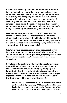**We never consciously thought about it or spoke about it, but we instinctively knew that we all had a place at the table. We "belonged" there. Even though there may have been sibling rivalries going on and we weren't always happy with each other, there was never any thought of excluding a family member from the table. It sounds strange to even say it. You simply don't exclude family members from supper. When the call rings out, "Supper's ready!" everybody comes running, no matter what.**

**I remember a couple of times I couldn't make it to the table because of sickness. This included a Christmas dinner during high school when I had a terrible bout of the flu, and I still remember the weirdness of being upstairs in bed while the rest of my family was gorging themselves on a fantastic meal. It just wasn't right!**

**Whatever your upbringing may have been, most of you have similar memories of those wonderful times of love and fellowship at the table. (***So, when you get together in your Life Group meetings this week, you can share some of those memories***.)**

**Now, let's go back about 3,500 years to a particular meal that still holds a lot of relevance for us today. It was a massive national meal, eaten family by family by the Israelites in Egypt, just before God delivered them from slavery. Jews continue the tradition to this day as they get together every year for the well-known Passover Seder. Our first report of it comes from Exodus 12.**

> **Exodus 12:1-14 Now the LORD spoke to Moses and Aaron in the land of Egypt, saying, <sup>2</sup> "This month** *shall be* **your beginning of months; it** *shall be* **the first month of the year to you. <sup>3</sup> Speak to all the congregation of Israel,**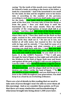**saying: "On the tenth of this month every man shall take for himself a lamb, according to the house of** *his* **father, a lamb for a household. <sup>4</sup> And if the household is too small for the lamb, let him and his neighbor next to his house take** *it* **according to the number of the persons; according to each man's need you shall make your count for the lamb. <sup>5</sup> Your lamb shall be without blemish, a male of the first year. You may take** *it* **from the sheep or from the goats. <sup>6</sup> Now you shall keep it until the fourteenth day of the same month. Then the whole assembly of the congregation of Israel shall kill it at twilight. <sup>7</sup> And they shall take** *some* **of the blood and put** *it* **on the two doorposts and on the lintel of the houses where they eat it. <sup>8</sup> Then they shall eat the flesh on that night; roasted in fire, with unleavened bread** *and* **with bitter** *herbs* **they shall eat it. <sup>9</sup> Do not eat it raw, nor boiled at all with water, but roasted in fire—its head with its legs and its entrails. <sup>10</sup> You shall let none of it remain until morning, and what remains of it until morning you shall burn with fire. <sup>11</sup> And thus you shall eat it:** *with* **a belt on your waist, your sandals on your feet, and your staff in your hand. So you shall eat it in haste. It** *is* **the LORD'S Passover. <sup>12</sup> "For I will pass through the land of Egypt on that night and will strike all the firstborn in the land of Egypt, both man and beast; and against all the gods of Egypt I will execute judgment: I** *am* **the LORD. <sup>13</sup> Now the blood shall be a sign for you on the houses where you** *are.* **And when I see the blood, I will pass over you; and the plague shall not be on you to destroy** *you* **when I strike the land of Egypt. <sup>14</sup> "So this day shall be to you a memorial; and you shall keep it as a feast to the LORD throughout your generations. You shall keep it as a feast by an everlasting ordinance.**

**There are a lot of details in this reading that we need to take note of (even though I won't be able to cover them all this morning). And as we consider these points, we'll see that there are many similarities and foreshadowing of what Jesus brought into being about 1,500 years later.**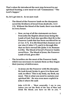**That's when He introduced the next step forward in our spiritual feasting; a new meal we call "Communion;" "The Lord's Supper."**

**So, let's get into it. As we just read:**

-

- **The blood of the Passover lamb on the doorposts saved the firstborn of Israel from death (Ex. 12:3- 13). Without the blood of the lamb, there was death in every house.**
	- o **Now, on top of all the statements we have from John the Baptist about Jesus being the Lamb of God, Paul also specifies that** *He* **is the Passover Lamb that has been sacrificed for us (1 Cor. 5:7). It is** *His* **blood that cleanses us of our sins (1 John 1:7), and it is through** *Him* **that we have eternal life (John 3:16; Romans 6:23b). The blood of Israel's Passover lambs saved lives. The blood of Jesus, the Passover Lamb of God, gives life!**
- **The Israelites ate the meat of the Passover lamb, which was necessary to sustain them as they began their journey of deliverance.** 
	- o **As Jesus ate the Passover with His disciples, He took bread, broke it, gave it to them and said, in effect: 'This is my body, my flesh, my meat. This is what you need to sustain your spiritual life'. He was even more explicit in John 6 where He said:**

**John 6:53-58 … "Most assuredly, I say to you, unless you eat the flesh of the Son of Man and drink His blood, you have no life in you. 54**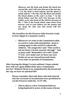**Whoever eats My flesh and drinks My blood has eternal life, and I will raise him up at the last day. <sup>55</sup> For My flesh is food indeed, and My blood is drink indeed. <sup>56</sup> He who eats My flesh and drinks My blood abides in Me, and I in him. <sup>57</sup> As the living Father sent Me, and I live because of the Father, so he who feeds on Me will live because of Me. <sup>58</sup> This is the bread which came down from heaven—not as your fathers ate the manna and are dead. He who eats this bread will live forever."**

- **The Israelites ate the Passover fully dressed, ready to leave Egypt at a moment's notice.** 
	- o **Whenever we come to the Communion table, we need to come with anticipation. Jesus is coming again to this world to redeem His children. The songwriter said: "This world is not my home, I'm just a passin' through." And as Jesus said: "Remember Lot's wife" (Luke 17:32). Let's make sure we have our eyes firmly set on our eternal heavenly home every time we partake of Communion.**

**After hearing the things I've just outlined, I hope nobody here will** *ever* **again deliberately miss a Communion Service! Without Christ** *in* **us, symbolized by the bread and the cup, we have no spiritual life!**

- **Please remember that only those who had entered into the covenant of circumcision were permitted to eat the Passover lamb (Ex. 12:47-48).**
	- o **This is akin to a New Testament believer being baptized in water, in the name of Jesus**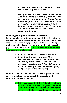**Christ before partaking of Communion. First things first. Baptism is crucial.** 

*(Along with circumcision, the children of Israel also symbolized the covenant of baptism. They were baptized into Moses at the Red Sea just as we were baptized into Christ, whether it was in a river, the sea, a baptismal pool or even a bathtub (Ex. 14:13-14, 16, 29-30a; (1 Cor. 10:1- 2.)) We are God's church, in an eternal covenant with Him.*

**In John 6, Jesus gave another Old Testament foreshadowing of the Communion meal. He referred to the way God fed the Israelites with manna from heaven as they made their way from Egypt to Canaan (Ex. 16:4). Along with manna, He also gave them water to drink from rocks (e.g. Ex. 17:6). This is key: The manna and the water were their** *only* **means of survival.**

- o **Could the Israelites feed themselves? No.**
- o **Could they find their own water? No.**
- o **Did they need God's help? Yes! God provided everything they needed. (***Food and drink were provided, clothes and shoes did not wear out, a cloud was provided to cool them by day, and fire to warm them by night***.)**

**So, now I'd like to make the most crucial application from our learning today as we look at the character of the Israelites, God's chosen people:**

> o **It is clear to see that God fed and cared for a nation of circumcised, 'baptized' sinners! They were a nation of rebels who constantly engaged in idolatry, lived immoral lives, and**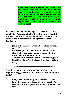**murmured against God on a daily basis. They consistently rejected His will and plan for them as a nation, and as a result, a whole generation died in the wilderness before they got to the promised land (Num. 14:22-23, 29). God didn't provide for them because of their righteousness. He provided for them because of their need!**

**As I mentioned before, when Jesus shared His last precrucifixion Passover with His disciples, He also instituted the new tradition of the "Lord's Supper." So, once again, let's remind ourselves of the things we read earlier in Exodus 12:**

- **Jesus is the Passover Lamb whose blood saves (1 Cor. 5:7).**
- **We are eligible to partake at the Passover table after we have entered into covenant with Him through baptism (Mark 16:16).**
- **And similar to the manna in the wilderness, Jesus identified** *Himself* **as the bread from heaven (John 6:51).**

**Now, let's answer this question: Just how holy and righteous do** *we* **need to be to partake at the Communion table?**

- **Well, just about as 'holy' and 'righteous' as the Israelites were, or as Jesus' disciples were! When we look at the disciples for example, here's what we see:**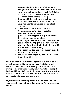- o **James and John – the Sons of Thunder – sought to call down fire from heaven on those who were unkind to them (Mark 3:17; Luke 9:51-56). (***This is the same John that is described as the apostle of love!***)**
- o **James and John again, were seeking power over their brethren, which caused a lot of anger and strife within the group (Mark 10:35-41).**
- o **The disciples' table discussion after Communion was "Which of us is the greatest"? (Luke 22:24-27).**
- o **Judas was a thief (John 12:6). He betrayed Jesus, then took his own life.**
- o **Peter began to curse and swear as he denied Jesus (Matt. 26:74). (This is after he and all the rest of the disciples had said they would die with Him (Mark 14:31).**
- o **Nine disciples fled and were absent from the trial and crucifixion.**
- o **Only ONE disciple (John) went all the way to Golgotha with Jesus.**

**But even with His foreknowledge that this would be the case, Jesus served Communion to each of them, and washed the feet of each and every one of them! These were people who were clearly unworthy of receiving the body and blood of Christ. In the same way, Jesus is waiting to serve each and every one of** *us* **at His table, in spite of our horrible failures and betrayals.**

**So, what is Paul speaking about in 1 Cor. 11:27 when he speaks against partaking of Communion "in an unworthy manner?"**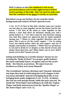**Well, it shows us that the emphasis is not on my personal holiness and worthy righteousness before God to partake at the table. But I do need to make sure that the condition of my** *heart* **is worthy as I partake.** 

**But before we go any further, let me read the whole background and context of Paul's speech to you:**

**1 Cor. 11:17-22 Now in this that I declare** *unto you* **I praise** *you* **not, that ye come together not for the better, but for the worse. <sup>18</sup> For first of all, when ye come together in the church, I hear that there be divisions among you; and I partly believe it. <sup>19</sup> For there must be also heresies among you, that they which are approved may be made manifest among you. <sup>20</sup> When ye come together therefore into one place,** *this* **is not to eat the Lord's supper. <sup>21</sup> For in eating every one taketh before** *other* **his own supper: and one is hungry, and another is drunken. <sup>22</sup> What? have ye not houses to eat and to drink in? or despise ye the church of God, and shame them that have not? What shall I say to you? shall I praise you in this? I praise** *you* **not.**

**Eating and drinking 'in a worthy manner' means we are treating the "Body of Christ" in a proper, godly fashion! We must constantly honor, recognize and see the Lord's Body – the Church, as precious. We must treat our brethren as if they were Jesus Himself!**

**The Corinthians' factions, divisions and 'classism' defeated any hope they had of celebrating the Lord's Supper in the way Jesus intended! Instead of bringing them life, it was bringing them under judgment (1 Cor. 11:29). At dinner, the rich ate well and got drunk, while the poor starved. No doubt the 'Paul Clique' had nothing to do with the 'Cephas Clique' and both stayed away from the 'Apollos Clique' or the 'Jesus Clique' (see 1 Cor. 1).**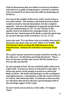**Paul let them know that our failure to treat our brothers and sisters in a godly, loving manner can lead to sickness and even death if we desecrate the table by despising our brethren.** 

**Yet even in the middle of this mess, God's work of mercy was still evident. The sickness and death Paul described would not lead to eternal damnation, but the complete opposite. God uses this judgment to** *save* **His people from eternal condemnation (1 Cor. 11:32)! Earlier in the epistle, Paul even delivered a sinning brother over to Satan for the "destruction of his flesh, so that his spirit may be saved in the day of the Lord Jesus" (1 Cor. 5:1-5)**

**Jesus also said: "It is not those who are healthy who need a physician, but those who are sick" (Matt. 9:12 NASB). The Lord doesn't chase us from His table because of our imperfections. Instead, He welcomes us because of our need.** 

**We cannot cleanse ourselves to make ourselves worthy, so He calls us to "eat His flesh and drink His blood." This is how we become worthy and receive** *His* **life inside of us. Not our life, but** *His* **life.** 

**So, dear people of God. Do not avoid the table of the Lord. It gives life. It draws us closer to God and to each other. It shows the power of the gospel at work in us and in the Body of Christ. His body and blood give us His worthiness and righteousness. Communion recalls the work of Christ at Calvary and celebrates Him. It reminds us that one day we will share this meal in Heaven's great banquet hall at the marriage supper of the Lamb.**

**So now I invite you to join me at the table. It's Supper Time!**